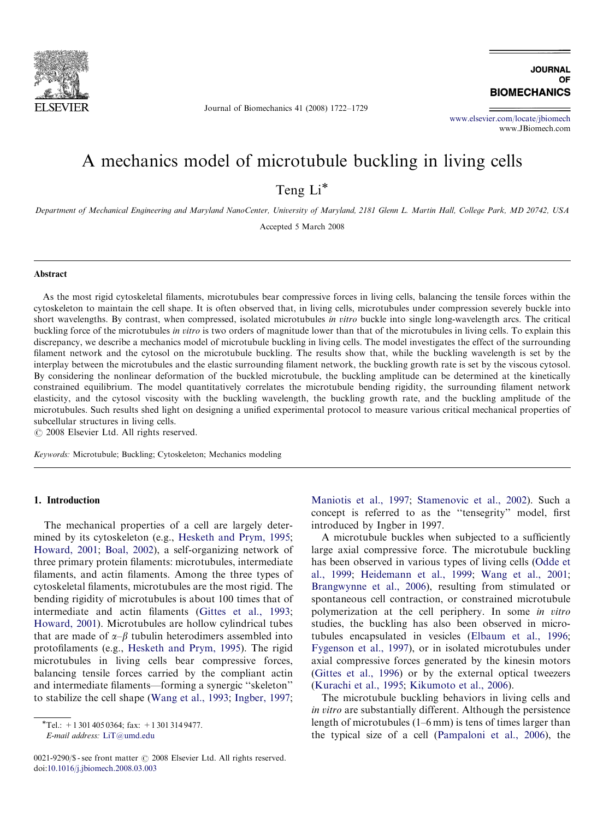

Journal of Biomechanics 41 (2008) 1722–1729

**JOURNAL** OF **BIOMECHANICS** 

<www.elsevier.com/locate/jbiomech> www.JBiomech.com

# A mechanics model of microtubule buckling in living cells

Teng Li<sup>\*</sup>

Department of Mechanical Engineering and Maryland NanoCenter, University of Maryland, 2181 Glenn L. Martin Hall, College Park, MD 20742, USA

Accepted 5 March 2008

### Abstract

As the most rigid cytoskeletal filaments, microtubules bear compressive forces in living cells, balancing the tensile forces within the cytoskeleton to maintain the cell shape. It is often observed that, in living cells, microtubules under compression severely buckle into short wavelengths. By contrast, when compressed, isolated microtubules in vitro buckle into single long-wavelength arcs. The critical buckling force of the microtubules in vitro is two orders of magnitude lower than that of the microtubules in living cells. To explain this discrepancy, we describe a mechanics model of microtubule buckling in living cells. The model investigates the effect of the surrounding filament network and the cytosol on the microtubule buckling. The results show that, while the buckling wavelength is set by the interplay between the microtubules and the elastic surrounding filament network, the buckling growth rate is set by the viscous cytosol. By considering the nonlinear deformation of the buckled microtubule, the buckling amplitude can be determined at the kinetically constrained equilibrium. The model quantitatively correlates the microtubule bending rigidity, the surrounding filament network elasticity, and the cytosol viscosity with the buckling wavelength, the buckling growth rate, and the buckling amplitude of the microtubules. Such results shed light on designing a unified experimental protocol to measure various critical mechanical properties of subcellular structures in living cells.

 $\odot$  2008 Elsevier Ltd. All rights reserved.

Keywords: Microtubule; Buckling; Cytoskeleton; Mechanics modeling

### 1. Introduction

The mechanical properties of a cell are largely determined by its cytoskeleton (e.g., [Hesketh and Prym, 1995](#page-6-0); [Howard, 2001;](#page-6-0) [Boal, 2002\)](#page-6-0), a self-organizing network of three primary protein filaments: microtubules, intermediate filaments, and actin filaments. Among the three types of cytoskeletal filaments, microtubules are the most rigid. The bending rigidity of microtubules is about 100 times that of intermediate and actin filaments [\(Gittes et al., 1993](#page-6-0); [Howard, 2001](#page-6-0)). Microtubules are hollow cylindrical tubes that are made of  $\alpha-\beta$  tubulin heterodimers assembled into protofilaments (e.g., [Hesketh and Prym, 1995](#page-6-0)). The rigid microtubules in living cells bear compressive forces, balancing tensile forces carried by the compliant actin and intermediate filaments—forming a synergic ''skeleton'' to stabilize the cell shape [\(Wang et al., 1993](#page-7-0); [Ingber, 1997](#page-6-0);

E-mail address: [LiT@umd.edu](mailto:LiT@umd.edu)

 $0021-9290$ /\$ - see front matter  $\odot$  2008 Elsevier Ltd. All rights reserved. doi:[10.1016/j.jbiomech.2008.03.003](dx.doi.org/10.1016/j.jbiomech.2008.03.003)

[Maniotis et al., 1997;](#page-6-0) [Stamenovic et al., 2002](#page-7-0)). Such a concept is referred to as the ''tensegrity'' model, first introduced by Ingber in 1997.

A microtubule buckles when subjected to a sufficiently large axial compressive force. The microtubule buckling has been observed in various types of living cells ([Odde et](#page-6-0) [al., 1999;](#page-6-0) [Heidemann et al., 1999](#page-6-0); [Wang et al., 2001](#page-7-0); [Brangwynne et al., 2006\)](#page-6-0), resulting from stimulated or spontaneous cell contraction, or constrained microtubule polymerization at the cell periphery. In some in vitro studies, the buckling has also been observed in microtubules encapsulated in vesicles [\(Elbaum et al., 1996](#page-6-0); [Fygenson et al., 1997\)](#page-6-0), or in isolated microtubules under axial compressive forces generated by the kinesin motors [\(Gittes et al., 1996\)](#page-6-0) or by the external optical tweezers [\(Kurachi et al., 1995;](#page-6-0) [Kikumoto et al., 2006](#page-6-0)).

The microtubule buckling behaviors in living cells and in vitro are substantially different. Although the persistence length of microtubules (1–6 mm) is tens of times larger than the typical size of a cell ([Pampaloni et al., 2006\)](#page-6-0), the

 $\overline{\text{Tel}}$ : +1 301 405 0364; fax: +1 301 314 9477.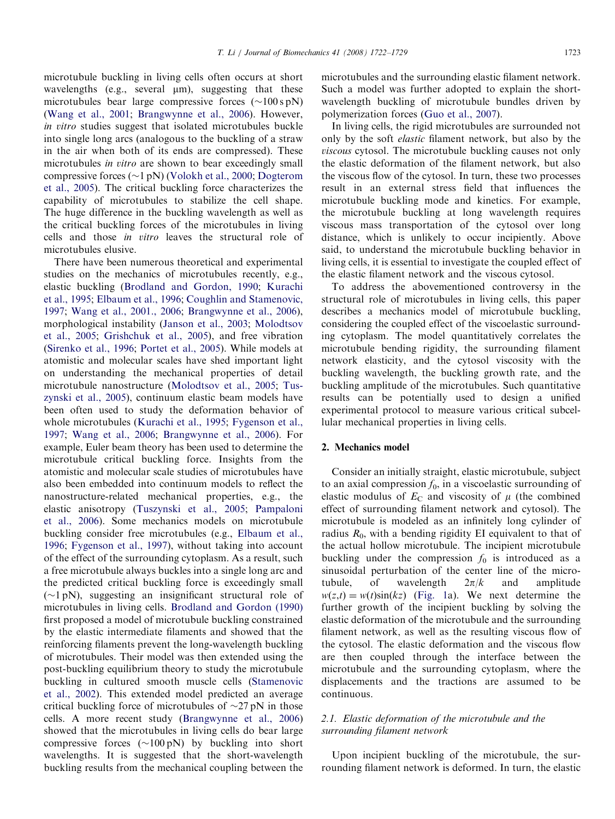microtubule buckling in living cells often occurs at short wavelengths (e.g., several  $\mu$ m), suggesting that these microtubules bear large compressive forces  $(\sim 100 \text{ s pN})$ ([Wang et al., 2001;](#page-7-0) [Brangwynne et al., 2006\)](#page-6-0). However, in vitro studies suggest that isolated microtubules buckle into single long arcs (analogous to the buckling of a straw in the air when both of its ends are compressed). These microtubules *in vitro* are shown to bear exceedingly small compressive forces ( $\sim$ 1 pN) ([Volokh et al., 2000;](#page-7-0) [Dogterom](#page-6-0) [et al., 2005](#page-6-0)). The critical buckling force characterizes the capability of microtubules to stabilize the cell shape. The huge difference in the buckling wavelength as well as the critical buckling forces of the microtubules in living cells and those in vitro leaves the structural role of microtubules elusive.

There have been numerous theoretical and experimental studies on the mechanics of microtubules recently, e.g., elastic buckling [\(Brodland and Gordon, 1990](#page-6-0); [Kurachi](#page-6-0) [et al., 1995](#page-6-0); [Elbaum et al., 1996](#page-6-0); [Coughlin and Stamenovic,](#page-6-0) [1997](#page-6-0); [Wang et al., 2001., 2006](#page-7-0); [Brangwynne et al., 2006\)](#page-6-0), morphological instability [\(Janson et al., 2003](#page-6-0); [Molodtsov](#page-6-0) [et al., 2005](#page-6-0); [Grishchuk et al., 2005\)](#page-6-0), and free vibration ([Sirenko et al., 1996;](#page-7-0) [Portet et al., 2005\)](#page-7-0). While models at atomistic and molecular scales have shed important light on understanding the mechanical properties of detail microtubule nanostructure ([Molodtsov et al., 2005](#page-6-0); [Tus](#page-7-0)[zynski et al., 2005](#page-7-0)), continuum elastic beam models have been often used to study the deformation behavior of whole microtubules [\(Kurachi et al., 1995;](#page-6-0) [Fygenson et al.,](#page-6-0) [1997](#page-6-0); [Wang et al., 2006;](#page-7-0) [Brangwynne et al., 2006\)](#page-6-0). For example, Euler beam theory has been used to determine the microtubule critical buckling force. Insights from the atomistic and molecular scale studies of microtubules have also been embedded into continuum models to reflect the nanostructure-related mechanical properties, e.g., the elastic anisotropy [\(Tuszynski et al., 2005](#page-7-0); [Pampaloni](#page-6-0) [et al., 2006\)](#page-6-0). Some mechanics models on microtubule buckling consider free microtubules (e.g., [Elbaum et al.,](#page-6-0) [1996](#page-6-0); [Fygenson et al., 1997](#page-6-0)), without taking into account of the effect of the surrounding cytoplasm. As a result, such a free microtubule always buckles into a single long arc and the predicted critical buckling force is exceedingly small  $(\sim 1 \text{ pN})$ , suggesting an insignificant structural role of microtubules in living cells. [Brodland and Gordon \(1990\)](#page-6-0) first proposed a model of microtubule buckling constrained by the elastic intermediate filaments and showed that the reinforcing filaments prevent the long-wavelength buckling of microtubules. Their model was then extended using the post-buckling equilibrium theory to study the microtubule buckling in cultured smooth muscle cells [\(Stamenovic](#page-7-0) [et al., 2002\)](#page-7-0). This extended model predicted an average critical buckling force of microtubules of  $\sim$ 27 pN in those cells. A more recent study ([Brangwynne et al., 2006](#page-6-0)) showed that the microtubules in living cells do bear large compressive forces  $(\sim 100 \text{ pN})$  by buckling into short wavelengths. It is suggested that the short-wavelength buckling results from the mechanical coupling between the microtubules and the surrounding elastic filament network. Such a model was further adopted to explain the shortwavelength buckling of microtubule bundles driven by polymerization forces ([Guo et al., 2007\)](#page-6-0).

In living cells, the rigid microtubules are surrounded not only by the soft elastic filament network, but also by the viscous cytosol. The microtubule buckling causes not only the elastic deformation of the filament network, but also the viscous flow of the cytosol. In turn, these two processes result in an external stress field that influences the microtubule buckling mode and kinetics. For example, the microtubule buckling at long wavelength requires viscous mass transportation of the cytosol over long distance, which is unlikely to occur incipiently. Above said, to understand the microtubule buckling behavior in living cells, it is essential to investigate the coupled effect of the elastic filament network and the viscous cytosol.

To address the abovementioned controversy in the structural role of microtubules in living cells, this paper describes a mechanics model of microtubule buckling, considering the coupled effect of the viscoelastic surrounding cytoplasm. The model quantitatively correlates the microtubule bending rigidity, the surrounding filament network elasticity, and the cytosol viscosity with the buckling wavelength, the buckling growth rate, and the buckling amplitude of the microtubules. Such quantitative results can be potentially used to design a unified experimental protocol to measure various critical subcellular mechanical properties in living cells.

## 2. Mechanics model

Consider an initially straight, elastic microtubule, subject to an axial compression  $f_0$ , in a viscoelastic surrounding of elastic modulus of  $E_C$  and viscosity of  $\mu$  (the combined effect of surrounding filament network and cytosol). The microtubule is modeled as an infinitely long cylinder of radius  $R_0$ , with a bending rigidity EI equivalent to that of the actual hollow microtubule. The incipient microtubule buckling under the compression  $f_0$  is introduced as a sinusoidal perturbation of the center line of the microtubule, of wavelength  $2\pi/k$  and amplitude  $w(z,t) = w(t)\sin(kz)$  [\(Fig. 1a](#page-2-0)). We next determine the further growth of the incipient buckling by solving the elastic deformation of the microtubule and the surrounding filament network, as well as the resulting viscous flow of the cytosol. The elastic deformation and the viscous flow are then coupled through the interface between the microtubule and the surrounding cytoplasm, where the displacements and the tractions are assumed to be continuous.

# 2.1. Elastic deformation of the microtubule and the surrounding filament network

Upon incipient buckling of the microtubule, the surrounding filament network is deformed. In turn, the elastic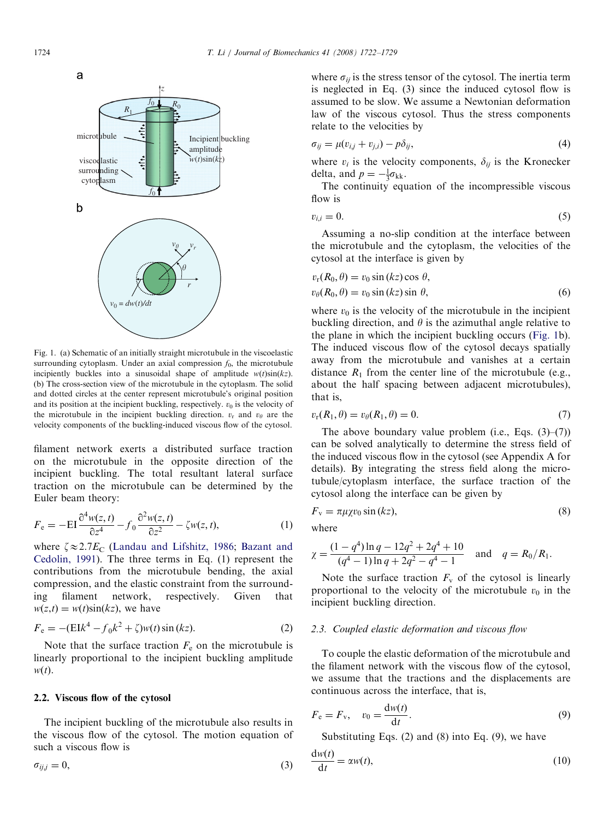<span id="page-2-0"></span>

Fig. 1. (a) Schematic of an initially straight microtubule in the viscoelastic surrounding cytoplasm. Under an axial compression  $f_0$ , the microtubule incipiently buckles into a sinusoidal shape of amplitude  $w(t)\sin(kz)$ . (b) The cross-section view of the microtubule in the cytoplasm. The solid and dotted circles at the center represent microtubule's original position and its position at the incipient buckling, respectively.  $v_0$  is the velocity of the microtubule in the incipient buckling direction.  $v_r$  and  $v_\theta$  are the velocity components of the buckling-induced viscous flow of the cytosol.

filament network exerts a distributed surface traction on the microtubule in the opposite direction of the incipient buckling. The total resultant lateral surface traction on the microtubule can be determined by the Euler beam theory:

$$
F_e = -EI \frac{\partial^4 w(z, t)}{\partial z^4} - f_0 \frac{\partial^2 w(z, t)}{\partial z^2} - \zeta w(z, t),
$$
 (1)

where  $\zeta \approx 2.7E_C$  [\(Landau and Lifshitz, 1986](#page-6-0); [Bazant and](#page-6-0) [Cedolin, 1991](#page-6-0)). The three terms in Eq. (1) represent the contributions from the microtubule bending, the axial compression, and the elastic constraint from the surrounding filament network, respectively. Given that  $w(z,t) = w(t)\sin(kz)$ , we have

$$
F_e = -(\text{E1}k^4 - f_0k^2 + \zeta)w(t)\sin(kz). \tag{2}
$$

Note that the surface traction  $F<sub>e</sub>$  on the microtubule is linearly proportional to the incipient buckling amplitude  $w(t)$ .

#### 2.2. Viscous flow of the cytosol

The incipient buckling of the microtubule also results in the viscous flow of the cytosol. The motion equation of such a viscous flow is

$$
\sigma_{ij,j} = 0,\tag{3}
$$

where  $\sigma_{ij}$  is the stress tensor of the cytosol. The inertia term is neglected in Eq. (3) since the induced cytosol flow is assumed to be slow. We assume a Newtonian deformation law of the viscous cytosol. Thus the stress components relate to the velocities by

$$
\sigma_{ij} = \mu(v_{i,j} + v_{j,i}) - p\delta_{ij},\tag{4}
$$

where  $v_i$  is the velocity components,  $\delta_{ij}$  is the Kronecker delta, and  $p = -\frac{1}{3}\sigma_{kk}$ .

The continuity equation of the incompressible viscous flow is

$$
v_{i,i} = 0.\t\t(5)
$$

Assuming a no-slip condition at the interface between the microtubule and the cytoplasm, the velocities of the cytosol at the interface is given by

$$
v_r(R_0, \theta) = v_0 \sin (kz) \cos \theta,
$$
  
\n
$$
v_\theta(R_0, \theta) = v_0 \sin (kz) \sin \theta,
$$
\n(6)

where  $v_0$  is the velocity of the microtubule in the incipient buckling direction, and  $\theta$  is the azimuthal angle relative to the plane in which the incipient buckling occurs (Fig. 1b). The induced viscous flow of the cytosol decays spatially away from the microtubule and vanishes at a certain distance  $R_1$  from the center line of the microtubule (e.g., about the half spacing between adjacent microtubules), that is,

$$
v_{\rm r}(R_1,\theta) = v_{\theta}(R_1,\theta) = 0. \tag{7}
$$

The above boundary value problem (i.e., Eqs.  $(3)$ – $(7)$ ) can be solved analytically to determine the stress field of the induced viscous flow in the cytosol (see Appendix A for details). By integrating the stress field along the microtubule/cytoplasm interface, the surface traction of the cytosol along the interface can be given by

$$
F_{\rm v} = \pi \mu \chi v_0 \sin(kz),\tag{8}
$$

where

$$
\chi = \frac{(1 - q^4) \ln q - 12q^2 + 2q^4 + 10}{(q^4 - 1) \ln q + 2q^2 - q^4 - 1}
$$
 and  $q = R_0/R_1$ .

Note the surface traction  $F_v$  of the cytosol is linearly proportional to the velocity of the microtubule  $v_0$  in the incipient buckling direction.

#### 2.3. Coupled elastic deformation and viscous flow

To couple the elastic deformation of the microtubule and the filament network with the viscous flow of the cytosol, we assume that the tractions and the displacements are continuous across the interface, that is,

$$
F_e = F_v, \quad v_0 = \frac{\mathrm{d}w(t)}{\mathrm{d}t}.
$$
\n(9)

Substituting Eqs. (2) and (8) into Eq. (9), we have

$$
\frac{\mathrm{d}w(t)}{\mathrm{d}t} = \alpha w(t),\tag{10}
$$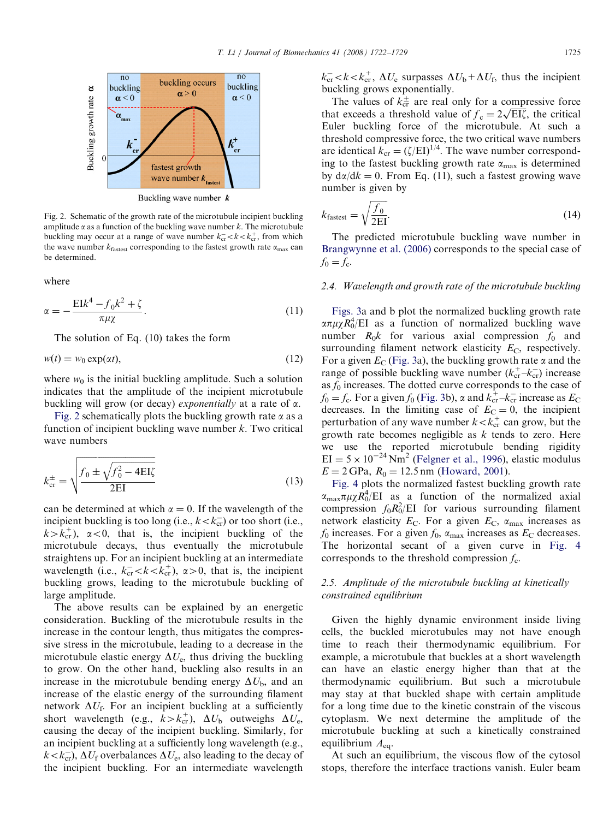

Buckling wave number  $$ 

Fig. 2. Schematic of the growth rate of the microtubule incipient buckling amplitude  $\alpha$  as a function of the buckling wave number k. The microtubule buckling may occur at a range of wave number  $k_{cr}^- < k < k_{cr}^+$ , from which the wave number  $k_{\text{fastest}}$  corresponding to the fastest growth rate  $\alpha_{\text{max}}$  can be determined.

where

$$
\alpha = -\frac{\mathrm{E}Ik^4 - f_0k^2 + \zeta}{\pi \mu \chi}.
$$
\n(11)

The solution of Eq. (10) takes the form

$$
w(t) = w_0 \exp(\alpha t),\tag{12}
$$

where  $w_0$  is the initial buckling amplitude. Such a solution indicates that the amplitude of the incipient microtubule buckling will grow (or decay) *exponentially* at a rate of  $\alpha$ .

Fig. 2 schematically plots the buckling growth rate  $\alpha$  as a function of incipient buckling wave number  $k$ . Two critical wave numbers

$$
k_{\rm cr}^{\pm} = \sqrt{\frac{f_0 \pm \sqrt{f_0^2 - 4 \rm E I \zeta}}{2 \rm E I}}
$$
(13)

can be determined at which  $\alpha = 0$ . If the wavelength of the incipient buckling is too long (i.e.,  $k < k_{cr}^-$ ) or too short (i.e.,  $k > k_{cr}^+$ ,  $\alpha < 0$ , that is, the incipient buckling of the microtubule decays, thus eventually the microtubule straightens up. For an incipient buckling at an intermediate wavelength (i.e.,  $k_{cr}^- \lt k \lt k_{cr}^+$ ),  $\alpha > 0$ , that is, the incipient buckling grows, leading to the microtubule buckling of large amplitude.

The above results can be explained by an energetic consideration. Buckling of the microtubule results in the increase in the contour length, thus mitigates the compressive stress in the microtubule, leading to a decrease in the microtubule elastic energy  $\Delta U_e$ , thus driving the buckling to grow. On the other hand, buckling also results in an increase in the microtubule bending energy  $\Delta U_{\rm b}$ , and an increase of the elastic energy of the surrounding filament network  $\Delta U_f$ . For an incipient buckling at a sufficiently short wavelength (e.g.,  $k > k_{cr}^+$ ),  $\Delta U_b$  outweighs  $\Delta U_e$ , causing the decay of the incipient buckling. Similarly, for an incipient buckling at a sufficiently long wavelength (e.g.,  $k < k_{cr}^-$ ,  $\Delta U_f$  overbalances  $\Delta U_e$ , also leading to the decay of the incipient buckling. For an intermediate wavelength

 $k_{\text{cr}}^-$  <  $k$  <  $k_{\text{cr}}^+$ ,  $\Delta U_e$  surpasses  $\Delta U_b$  +  $\Delta U_f$ , thus the incipient buckling grows exponentially.

The values of  $k_{cr}^{\pm}$  are real only for a compressive force The values of  $\kappa_{cr}$  are real only for a compressive force<br>that exceeds a threshold value of  $f_c = 2\sqrt{EI\zeta}$ , the critical Euler buckling force of the microtubule. At such a threshold compressive force, the two critical wave numbers are identical  $k_{cr} = (\zeta/EI)^{1/4}$ . The wave number corresponding to the fastest buckling growth rate  $\alpha_{\text{max}}$  is determined by  $d\alpha/dk = 0$ . From Eq. (11), such a fastest growing wave number is given by

$$
k_{\text{fastest}} = \sqrt{\frac{f_0}{2\text{EI}}}.\tag{14}
$$

The predicted microtubule buckling wave number in [Brangwynne et al. \(2006\)](#page-6-0) corresponds to the special case of  $f_0 = f_c$ .

#### 2.4. Wavelength and growth rate of the microtubule buckling

[Figs. 3](#page-4-0)a and b plot the normalized buckling growth rate  $\alpha \pi \mu \chi R_0^4$ /EI as a function of normalized buckling wave number  $R_0k$  for various axial compression  $f_0$  and surrounding filament network elasticity  $E_C$ , respectively. For a given  $E_C$  ([Fig. 3](#page-4-0)a), the buckling growth rate  $\alpha$  and the range of possible buckling wave number  $(k_{cr}^+ - k_{cr}^-)$  increase as  $f_0$  increases. The dotted curve corresponds to the case of  $f_0 = f_c$ . For a given  $f_0$  [\(Fig. 3b](#page-4-0)),  $\alpha$  and  $k_{cr}^{\dagger} - k_{cr}^{\dagger}$  increase as  $E_c$ decreases. In the limiting case of  $E_C = 0$ , the incipient perturbation of any wave number  $k < k<sub>cr</sub>$  can grow, but the growth rate becomes negligible as  $k$  tends to zero. Here we use the reported microtubule bending rigidity  $EI = 5 \times 10^{-24}$  Nm<sup>2</sup> [\(Felgner et al., 1996\)](#page-6-0), elastic modulus  $E = 2 \text{ GPa}, R_0 = 12.5 \text{ nm}$  [\(Howard, 2001\)](#page-6-0).

[Fig. 4](#page-4-0) plots the normalized fastest buckling growth rate  $\alpha_{\text{max}}\pi\mu\chi R_0^4$ /EI as a function of the normalized axial compression  $f_0 R_0^2 / E I$  for various surrounding filament network elasticity  $E_C$ . For a given  $E_C$ ,  $\alpha_{\text{max}}$  increases as  $f_0$  increases. For a given  $f_0$ ,  $\alpha_{\text{max}}$  increases as  $E_C$  decreases. The horizontal secant of a given curve in [Fig. 4](#page-4-0) corresponds to the threshold compression  $f_c$ .

# 2.5. Amplitude of the microtubule buckling at kinetically constrained equilibrium

Given the highly dynamic environment inside living cells, the buckled microtubules may not have enough time to reach their thermodynamic equilibrium. For example, a microtubule that buckles at a short wavelength can have an elastic energy higher than that at the thermodynamic equilibrium. But such a microtubule may stay at that buckled shape with certain amplitude for a long time due to the kinetic constrain of the viscous cytoplasm. We next determine the amplitude of the microtubule buckling at such a kinetically constrained equilibrium  $A_{eq}$ .

At such an equilibrium, the viscous flow of the cytosol stops, therefore the interface tractions vanish. Euler beam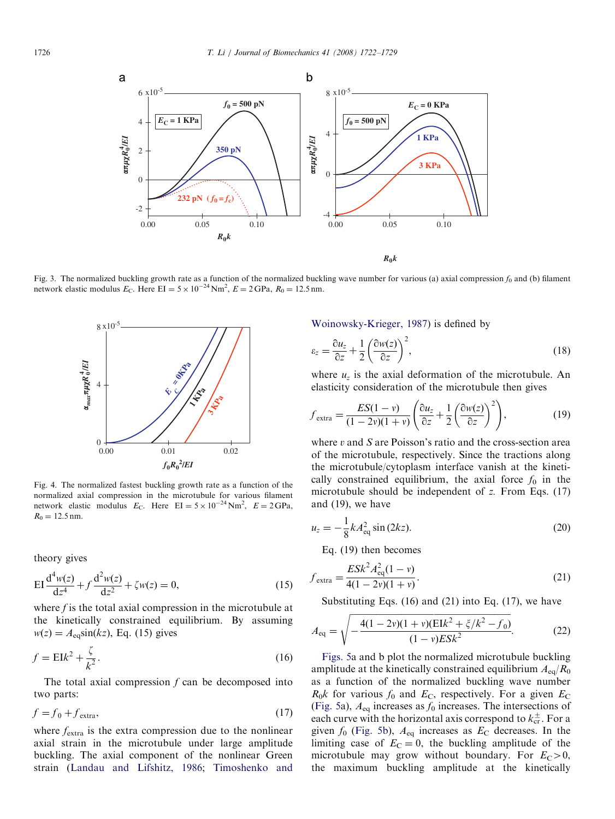<span id="page-4-0"></span>

Fig. 3. The normalized buckling growth rate as a function of the normalized buckling wave number for various (a) axial compression  $f_0$  and (b) filament network elastic modulus  $E_C$ . Here EI = 5 × 10<sup>-24</sup> Nm<sup>2</sup>,  $E = 2 \text{$ 



Fig. 4. The normalized fastest buckling growth rate as a function of the normalized axial compression in the microtubule for various filament network elastic modulus  $E_C$ . Here  $EI = 5 \times 10^{-24}$  Nm<sup>2</sup>,  $E = 2 \text{GPa}$ ,  $R_0 = 12.5$  nm.

theory gives

$$
EI\frac{d^4w(z)}{dz^4} + f\frac{d^2w(z)}{dz^2} + \zeta w(z) = 0,
$$
\n(15)

where  $f$  is the total axial compression in the microtubule at the kinetically constrained equilibrium. By assuming  $w(z) = A_{eq} \sin(kz)$ , Eq. (15) gives

$$
f = \mathcal{E}Ik^2 + \frac{\zeta}{k^2}.\tag{16}
$$

The total axial compression  $f$  can be decomposed into two parts:

$$
f = f_0 + f_{\text{extra}},\tag{17}
$$

where  $f_{\text{extra}}$  is the extra compression due to the nonlinear axial strain in the microtubule under large amplitude buckling. The axial component of the nonlinear Green strain [\(Landau and Lifshitz, 1986;](#page-6-0) [Timoshenko and](#page-7-0) [Woinowsky-Krieger, 1987\)](#page-7-0) is defined by

$$
\varepsilon_z = \frac{\partial u_z}{\partial z} + \frac{1}{2} \left( \frac{\partial w(z)}{\partial z} \right)^2,\tag{18}
$$

where  $u<sub>z</sub>$  is the axial deformation of the microtubule. An elasticity consideration of the microtubule then gives

$$
f_{\text{extra}} = \frac{ES(1-\nu)}{(1-2\nu)(1+\nu)} \left(\frac{\partial u_z}{\partial z} + \frac{1}{2} \left(\frac{\partial w(z)}{\partial z}\right)^2\right),\tag{19}
$$

where  $v$  and  $S$  are Poisson's ratio and the cross-section area of the microtubule, respectively. Since the tractions along the microtubule/cytoplasm interface vanish at the kinetically constrained equilibrium, the axial force  $f_0$  in the microtubule should be independent of z. From Eqs. (17) and (19), we have

$$
u_z = -\frac{1}{8}kA_{\text{eq}}^2\sin(2kz). \tag{20}
$$

Eq. (19) then becomes

$$
f_{\text{extra}} = \frac{ESk^2 A_{\text{eq}}^2 (1 - v)}{4(1 - 2v)(1 + v)}.
$$
\n(21)

Substituting Eqs.  $(16)$  and  $(21)$  into Eq.  $(17)$ , we have

$$
A_{\text{eq}} = \sqrt{-\frac{4(1 - 2v)(1 + v)(\text{E1}k^2 + \zeta/k^2 - f_0)}{(1 - v)\text{ESk}^2}}.
$$
 (22)

[Figs. 5](#page-5-0)a and b plot the normalized microtubule buckling amplitude at the kinetically constrained equilibrium  $A_{eq}/R_0$ as a function of the normalized buckling wave number  $R_0k$  for various  $f_0$  and  $E_{\rm C}$ , respectively. For a given  $E_{\rm C}$ [\(Fig. 5](#page-5-0)a),  $A_{eq}$  increases as  $f_0$  increases. The intersections of each curve with the horizontal axis correspond to  $k_{cr}^{\pm}$ . For a given  $f_0$  ([Fig. 5b](#page-5-0)),  $A_{eq}$  increases as  $E_C$  decreases. In the limiting case of  $E_C = 0$ , the buckling amplitude of the microtubule may grow without boundary. For  $E_C > 0$ , the maximum buckling amplitude at the kinetically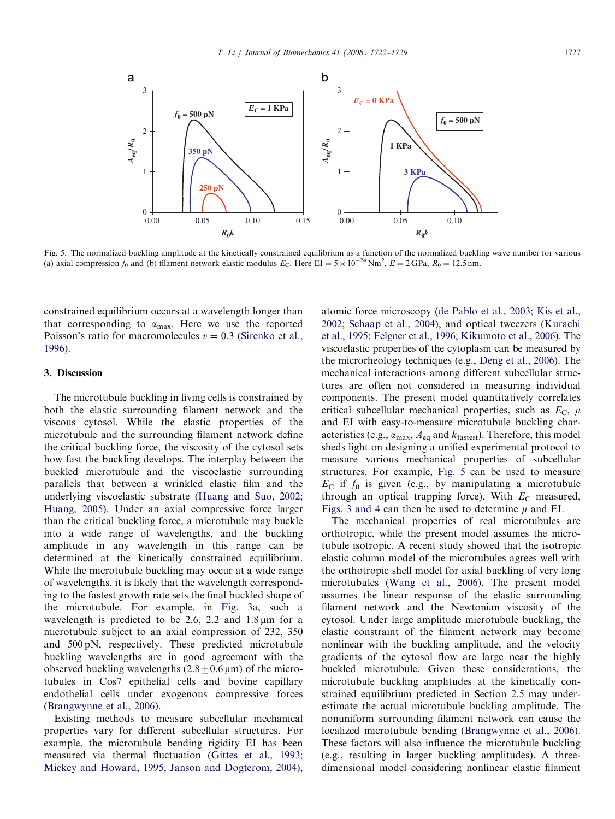<span id="page-5-0"></span>

Fig. 5. The normalized buckling amplitude at the kinetically constrained equilibrium as a function of the normalized buckling wave number for various (a) axial compression  $f_0$  and (b) filament network elastic modulus  $E_C$ . Here  $EI = 5 \times 10^{-24}$  Nm<sup>2</sup>,  $E = 2 \text{ GPa}$ ,  $R_0 = 12.5$  nm.

constrained equilibrium occurs at a wavelength longer than that corresponding to  $\alpha_{\text{max}}$ . Here we use the reported Poisson's ratio for macromolecules  $v = 0.3$  [\(Sirenko et al.,](#page-7-0) [1996](#page-7-0)).

#### 3. Discussion

The microtubule buckling in living cells is constrained by both the elastic surrounding filament network and the viscous cytosol. While the elastic properties of the microtubule and the surrounding filament network define the critical buckling force, the viscosity of the cytosol sets how fast the buckling develops. The interplay between the buckled microtubule and the viscoelastic surrounding parallels that between a wrinkled elastic film and the underlying viscoelastic substrate [\(Huang and Suo, 2002;](#page-6-0) [Huang, 2005\)](#page-6-0). Under an axial compressive force larger than the critical buckling force, a microtubule may buckle into a wide range of wavelengths, and the buckling amplitude in any wavelength in this range can be determined at the kinetically constrained equilibrium. While the microtubule buckling may occur at a wide range of wavelengths, it is likely that the wavelength corresponding to the fastest growth rate sets the final buckled shape of the microtubule. For example, in [Fig. 3a](#page-4-0), such a wavelength is predicted to be 2.6, 2.2 and  $1.8 \,\mu m$  for a microtubule subject to an axial compression of 232, 350 and 500 pN, respectively. These predicted microtubule buckling wavelengths are in good agreement with the observed buckling wavelengths  $(2.8+0.6 \,\mu\text{m})$  of the microtubules in Cos7 epithelial cells and bovine capillary endothelial cells under exogenous compressive forces ([Brangwynne et al., 2006](#page-6-0)).

Existing methods to measure subcellular mechanical properties vary for different subcellular structures. For example, the microtubule bending rigidity EI has been measured via thermal fluctuation ([Gittes et al., 1993;](#page-6-0) [Mickey and Howard, 1995;](#page-6-0) [Janson and Dogterom, 2004\)](#page-6-0), atomic force microscopy ([de Pablo et al., 2003;](#page-6-0) [Kis et al.,](#page-6-0) [2002](#page-6-0); [Schaap et al., 2004\)](#page-7-0), and optical tweezers [\(Kurachi](#page-6-0) [et al., 1995;](#page-6-0) [Felgner et al., 1996](#page-6-0); [Kikumoto et al., 2006\)](#page-6-0). The viscoelastic properties of the cytoplasm can be measured by the microrheology techniques (e.g., [Deng et al., 2006](#page-6-0)). The mechanical interactions among different subcellular structures are often not considered in measuring individual components. The present model quantitatively correlates critical subcellular mechanical properties, such as  $E_C$ ,  $\mu$ and EI with easy-to-measure microtubule buckling characteristics (e.g.,  $\alpha_{\text{max}}$ ,  $A_{\text{eq}}$  and  $k_{\text{fastest}}$ ). Therefore, this model sheds light on designing a unified experimental protocol to measure various mechanical properties of subcellular structures. For example, Fig. 5 can be used to measure  $E_{\rm C}$  if  $f_0$  is given (e.g., by manipulating a microtubule through an optical trapping force). With  $E_C$  measured, [Figs. 3 and 4](#page-4-0) can then be used to determine  $\mu$  and EI.

The mechanical properties of real microtubules are orthotropic, while the present model assumes the microtubule isotropic. A recent study showed that the isotropic elastic column model of the microtubules agrees well with the orthotropic shell model for axial buckling of very long microtubules ([Wang et al., 2006\)](#page-7-0). The present model assumes the linear response of the elastic surrounding filament network and the Newtonian viscosity of the cytosol. Under large amplitude microtubule buckling, the elastic constraint of the filament network may become nonlinear with the buckling amplitude, and the velocity gradients of the cytosol flow are large near the highly buckled microtubule. Given these considerations, the microtubule buckling amplitudes at the kinetically constrained equilibrium predicted in Section 2.5 may underestimate the actual microtubule buckling amplitude. The nonuniform surrounding filament network can cause the localized microtubule bending [\(Brangwynne et al., 2006\)](#page-6-0). These factors will also influence the microtubule buckling (e.g., resulting in larger buckling amplitudes). A threedimensional model considering nonlinear elastic filament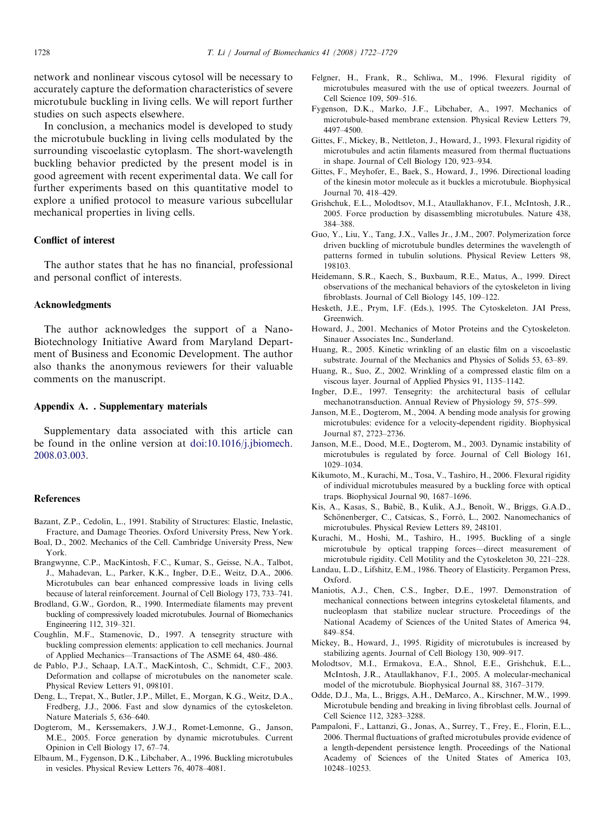<span id="page-6-0"></span>network and nonlinear viscous cytosol will be necessary to accurately capture the deformation characteristics of severe microtubule buckling in living cells. We will report further studies on such aspects elsewhere.

In conclusion, a mechanics model is developed to study the microtubule buckling in living cells modulated by the surrounding viscoelastic cytoplasm. The short-wavelength buckling behavior predicted by the present model is in good agreement with recent experimental data. We call for further experiments based on this quantitative model to explore a unified protocol to measure various subcellular mechanical properties in living cells.

## Conflict of interest

The author states that he has no financial, professional and personal conflict of interests.

#### Acknowledgments

The author acknowledges the support of a Nano-Biotechnology Initiative Award from Maryland Department of Business and Economic Development. The author also thanks the anonymous reviewers for their valuable comments on the manuscript.

### Appendix A. . Supplementary materials

Supplementary data associated with this article can be found in the online version at [doi:10.1016/j.jbiomech.](dx.doi.org/10.1016/j.jbiomech.2008.03.003) [2008.03.003](dx.doi.org/10.1016/j.jbiomech.2008.03.003).

#### References

- Bazant, Z.P., Cedolin, L., 1991. Stability of Structures: Elastic, Inelastic, Fracture, and Damage Theories. Oxford University Press, New York. Boal, D., 2002. Mechanics of the Cell. Cambridge University Press, New York.
- Brangwynne, C.P., MacKintosh, F.C., Kumar, S., Geisse, N.A., Talbot, J., Mahadevan, L., Parker, K.K., Ingber, D.E., Weitz, D.A., 2006. Microtubules can bear enhanced compressive loads in living cells because of lateral reinforcement. Journal of Cell Biology 173, 733–741.
- Brodland, G.W., Gordon, R., 1990. Intermediate filaments may prevent buckling of compressively loaded microtubules. Journal of Biomechanics Engineering 112, 319–321.
- Coughlin, M.F., Stamenovic, D., 1997. A tensegrity structure with buckling compression elements: application to cell mechanics. Journal of Applied Mechanics—Transactions of The ASME 64, 480–486.
- de Pablo, P.J., Schaap, I.A.T., MacKintosh, C., Schmidt, C.F., 2003. Deformation and collapse of microtubules on the nanometer scale. Physical Review Letters 91, 098101.
- Deng, L., Trepat, X., Butler, J.P., Millet, E., Morgan, K.G., Weitz, D.A., Fredberg, J.J., 2006. Fast and slow dynamics of the cytoskeleton. Nature Materials 5, 636–640.
- Dogterom, M., Kerssemakers, J.W.J., Romet-Lemonne, G., Janson, M.E., 2005. Force generation by dynamic microtubules. Current Opinion in Cell Biology 17, 67–74.
- Elbaum, M., Fygenson, D.K., Libchaber, A., 1996. Buckling microtubules in vesicles. Physical Review Letters 76, 4078–4081.
- Felgner, H., Frank, R., Schliwa, M., 1996. Flexural rigidity of microtubules measured with the use of optical tweezers. Journal of Cell Science 109, 509–516.
- Fygenson, D.K., Marko, J.F., Libchaber, A., 1997. Mechanics of microtubule-based membrane extension. Physical Review Letters 79, 4497–4500.
- Gittes, F., Mickey, B., Nettleton, J., Howard, J., 1993. Flexural rigidity of microtubules and actin filaments measured from thermal fluctuations in shape. Journal of Cell Biology 120, 923–934.
- Gittes, F., Meyhofer, E., Baek, S., Howard, J., 1996. Directional loading of the kinesin motor molecule as it buckles a microtubule. Biophysical Journal 70, 418–429.
- Grishchuk, E.L., Molodtsov, M.I., Ataullakhanov, F.I., McIntosh, J.R., 2005. Force production by disassembling microtubules. Nature 438, 384–388.
- Guo, Y., Liu, Y., Tang, J.X., Valles Jr., J.M., 2007. Polymerization force driven buckling of microtubule bundles determines the wavelength of patterns formed in tubulin solutions. Physical Review Letters 98, 198103.
- Heidemann, S.R., Kaech, S., Buxbaum, R.E., Matus, A., 1999. Direct observations of the mechanical behaviors of the cytoskeleton in living fibroblasts. Journal of Cell Biology 145, 109–122.
- Hesketh, J.E., Prym, I.F. (Eds.), 1995. The Cytoskeleton. JAI Press, Greenwich.
- Howard, J., 2001. Mechanics of Motor Proteins and the Cytoskeleton. Sinauer Associates Inc., Sunderland.
- Huang, R., 2005. Kinetic wrinkling of an elastic film on a viscoelastic substrate. Journal of the Mechanics and Physics of Solids 53, 63–89.
- Huang, R., Suo, Z., 2002. Wrinkling of a compressed elastic film on a viscous layer. Journal of Applied Physics 91, 1135–1142.
- Ingber, D.E., 1997. Tensegrity: the architectural basis of cellular mechanotransduction. Annual Review of Physiology 59, 575–599.
- Janson, M.E., Dogterom, M., 2004. A bending mode analysis for growing microtubules: evidence for a velocity-dependent rigidity. Biophysical Journal 87, 2723–2736.
- Janson, M.E., Dood, M.E., Dogterom, M., 2003. Dynamic instability of microtubules is regulated by force. Journal of Cell Biology 161, 1029–1034.
- Kikumoto, M., Kurachi, M., Tosa, V., Tashiro, H., 2006. Flexural rigidity of individual microtubules measured by a buckling force with optical traps. Biophysical Journal 90, 1687–1696.
- Kis, A., Kasas, S., Babič, B., Kulik, A.J., Benoît, W., Briggs, G.A.D., Schönenberger, C., Catsicas, S., Forrò, L., 2002. Nanomechanics of microtubules. Physical Review Letters 89, 248101.
- Kurachi, M., Hoshi, M., Tashiro, H., 1995. Buckling of a single microtubule by optical trapping forces—direct measurement of microtubule rigidity. Cell Motility and the Cytoskeleton 30, 221–228.
- Landau, L.D., Lifshitz, E.M., 1986. Theory of Elasticity. Pergamon Press, Oxford.
- Maniotis, A.J., Chen, C.S., Ingber, D.E., 1997. Demonstration of mechanical connections between integrins cytoskeletal filaments, and nucleoplasm that stabilize nuclear structure. Proceedings of the National Academy of Sciences of the United States of America 94, 849–854.
- Mickey, B., Howard, J., 1995. Rigidity of microtubules is increased by stabilizing agents. Journal of Cell Biology 130, 909–917.
- Molodtsov, M.I., Ermakova, E.A., Shnol, E.E., Grishchuk, E.L., McIntosh, J.R., Ataullakhanov, F.I., 2005. A molecular-mechanical model of the microtubule. Biophysical Journal 88, 3167–3179.
- Odde, D.J., Ma, L., Briggs, A.H., DeMarco, A., Kirschner, M.W., 1999. Microtubule bending and breaking in living fibroblast cells. Journal of Cell Science 112, 3283–3288.
- Pampaloni, F., Lattanzi, G., Jonas, A., Surrey, T., Frey, E., Florin, E.L., 2006. Thermal fluctuations of grafted microtubules provide evidence of a length-dependent persistence length. Proceedings of the National Academy of Sciences of the United States of America 103, 10248–10253.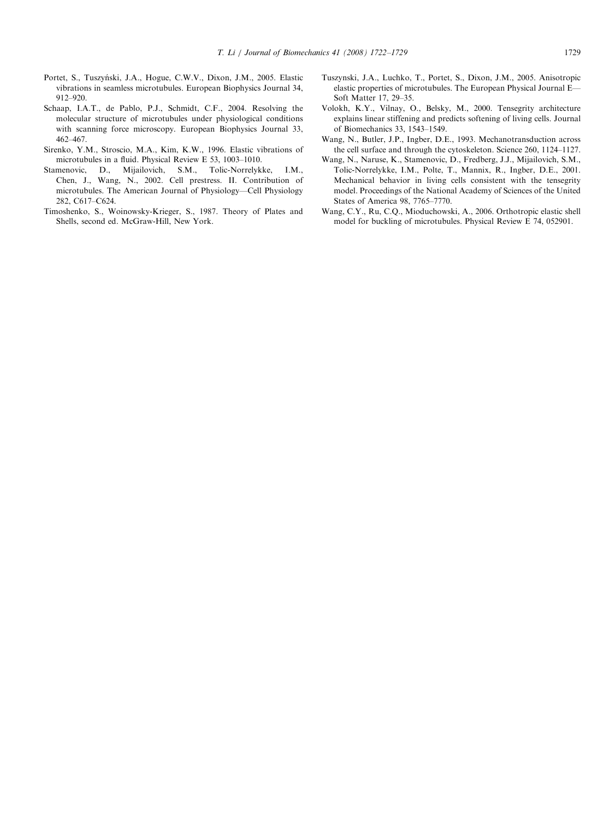- <span id="page-7-0"></span>Portet, S., Tuszyński, J.A., Hogue, C.W.V., Dixon, J.M., 2005. Elastic vibrations in seamless microtubules. European Biophysics Journal 34, 912–920.
- Schaap, I.A.T., de Pablo, P.J., Schmidt, C.F., 2004. Resolving the molecular structure of microtubules under physiological conditions with scanning force microscopy. European Biophysics Journal 33, 462–467.
- Sirenko, Y.M., Stroscio, M.A., Kim, K.W., 1996. Elastic vibrations of microtubules in a fluid. Physical Review E 53, 1003–1010.
- Stamenovic, D., Mijailovich, S.M., Tolic-Norrelykke, I.M., Chen, J., Wang, N., 2002. Cell prestress. II. Contribution of microtubules. The American Journal of Physiology—Cell Physiology 282, C617–C624.
- Timoshenko, S., Woinowsky-Krieger, S., 1987. Theory of Plates and Shells, second ed. McGraw-Hill, New York.
- Tuszynski, J.A., Luchko, T., Portet, S., Dixon, J.M., 2005. Anisotropic elastic properties of microtubules. The European Physical Journal E— Soft Matter 17, 29–35.
- Volokh, K.Y., Vilnay, O., Belsky, M., 2000. Tensegrity architecture explains linear stiffening and predicts softening of living cells. Journal of Biomechanics 33, 1543–1549.
- Wang, N., Butler, J.P., Ingber, D.E., 1993. Mechanotransduction across the cell surface and through the cytoskeleton. Science 260, 1124–1127.
- Wang, N., Naruse, K., Stamenovic, D., Fredberg, J.J., Mijailovich, S.M., Tolic-Norrelykke, I.M., Polte, T., Mannix, R., Ingber, D.E., 2001. Mechanical behavior in living cells consistent with the tensegrity model. Proceedings of the National Academy of Sciences of the United States of America 98, 7765–7770.
- Wang, C.Y., Ru, C.Q., Mioduchowski, A., 2006. Orthotropic elastic shell model for buckling of microtubules. Physical Review E 74, 052901.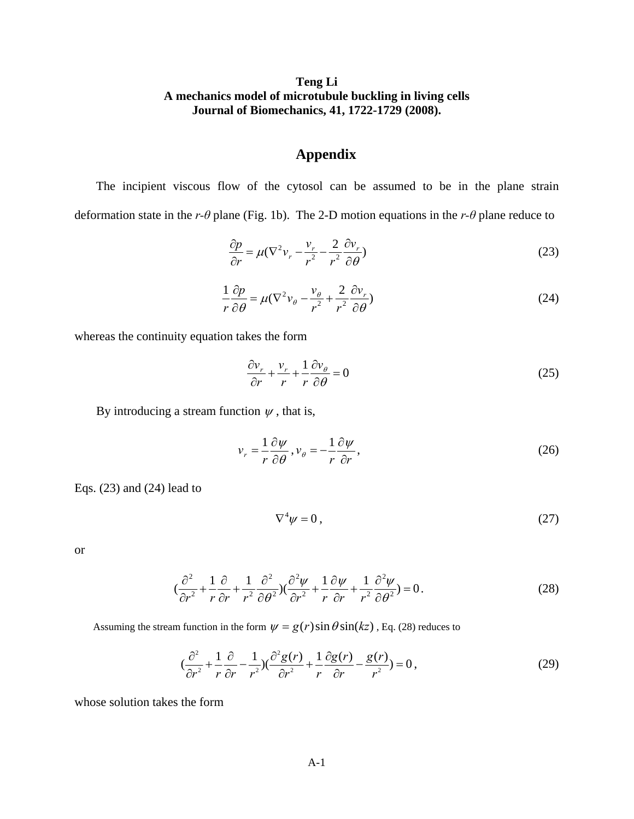# **Teng Li A mechanics model of microtubule buckling in living cells Journal of Biomechanics, 41, 1722-1729 (2008).**

# **Appendix**

The incipient viscous flow of the cytosol can be assumed to be in the plane strain deformation state in the *r-θ* plane (Fig. 1b). The 2-D motion equations in the *r-θ* plane reduce to

$$
\frac{\partial p}{\partial r} = \mu (\nabla^2 v_r - \frac{v_r}{r^2} - \frac{2}{r^2} \frac{\partial v_r}{\partial \theta})
$$
\n(23)

$$
\frac{1}{r}\frac{\partial p}{\partial \theta} = \mu(\nabla^2 v_\theta - \frac{v_\theta}{r^2} + \frac{2}{r^2}\frac{\partial v_r}{\partial \theta})
$$
(24)

whereas the continuity equation takes the form

$$
\frac{\partial v_r}{\partial r} + \frac{v_r}{r} + \frac{1}{r} \frac{\partial v_\theta}{\partial \theta} = 0
$$
 (25)

By introducing a stream function  $\psi$ , that is,

$$
v_r = \frac{1}{r} \frac{\partial \psi}{\partial \theta}, v_{\theta} = -\frac{1}{r} \frac{\partial \psi}{\partial r},
$$
\n(26)

Eqs. (23) and (24) lead to

$$
\nabla^4 \psi = 0 \,, \tag{27}
$$

or

$$
\left(\frac{\partial^2}{\partial r^2} + \frac{1}{r}\frac{\partial}{\partial r} + \frac{1}{r^2}\frac{\partial^2}{\partial \theta^2}\right)\left(\frac{\partial^2 \psi}{\partial r^2} + \frac{1}{r}\frac{\partial \psi}{\partial r} + \frac{1}{r^2}\frac{\partial^2 \psi}{\partial \theta^2}\right) = 0.
$$
 (28)

Assuming the stream function in the form  $\psi = g(r) \sin \theta \sin(kz)$ , Eq. (28) reduces to

$$
\left(\frac{\partial^2}{\partial r^2} + \frac{1}{r}\frac{\partial}{\partial r} - \frac{1}{r^2}\right)\left(\frac{\partial^2 g(r)}{\partial r^2} + \frac{1}{r}\frac{\partial g(r)}{\partial r} - \frac{g(r)}{r^2}\right) = 0\,,\tag{29}
$$

whose solution takes the form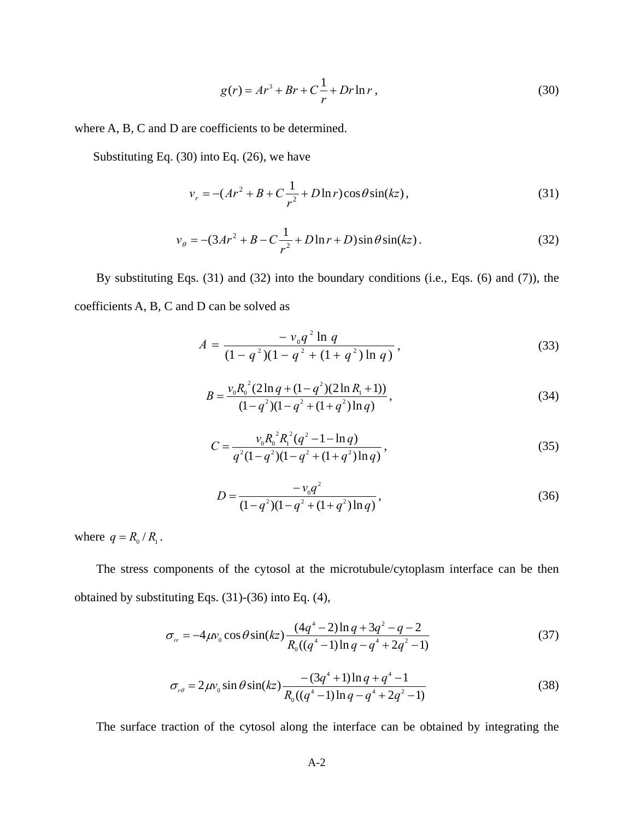$$
g(r) = Ar^3 + Br + C\frac{1}{r} + Dr \ln r,
$$
\n(30)

where A, B, C and D are coefficients to be determined.

Substituting Eq. (30) into Eq. (26), we have

$$
v_r = -(Ar^2 + B + C\frac{1}{r^2} + D\ln r)\cos\theta\sin(kz),
$$
\n(31)

$$
v_{\theta} = -(3Ar^2 + B - C\frac{1}{r^2} + D\ln r + D)\sin\theta\sin(kz).
$$
 (32)

By substituting Eqs. (31) and (32) into the boundary conditions (i.e., Eqs. (6) and (7)), the coefficients A, B, C and D can be solved as

$$
A = \frac{-v_0 q^2 \ln q}{(1 - q^2)(1 - q^2 + (1 + q^2) \ln q)},
$$
\n(33)

$$
B = \frac{v_0 R_0^2 (2 \ln q + (1 - q^2)(2 \ln R_1 + 1))}{(1 - q^2)(1 - q^2 + (1 + q^2)\ln q)},
$$
\n(34)

$$
C = \frac{v_0 R_0^2 R_1^2 (q^2 - 1 - \ln q)}{q^2 (1 - q^2)(1 - q^2 + (1 + q^2) \ln q)},
$$
\n(35)

$$
D = \frac{-v_0 q^2}{(1 - q^2)(1 - q^2 + (1 + q^2) \ln q)},
$$
\n(36)

where  $q = R_0 / R_1$ .

The stress components of the cytosol at the microtubule/cytoplasm interface can be then obtained by substituting Eqs. (31)-(36) into Eq. (4),

$$
\sigma_{rr} = -4\mu v_0 \cos \theta \sin(kz) \frac{(4q^4 - 2) \ln q + 3q^2 - q - 2}{R_0((q^4 - 1) \ln q - q^4 + 2q^2 - 1)}
$$
(37)

$$
\sigma_{r\theta} = 2\mu v_0 \sin \theta \sin(kz) \frac{-(3q^4+1)\ln q + q^4 - 1}{R_0((q^4-1)\ln q - q^4 + 2q^2 - 1)}
$$
(38)

The surface traction of the cytosol along the interface can be obtained by integrating the